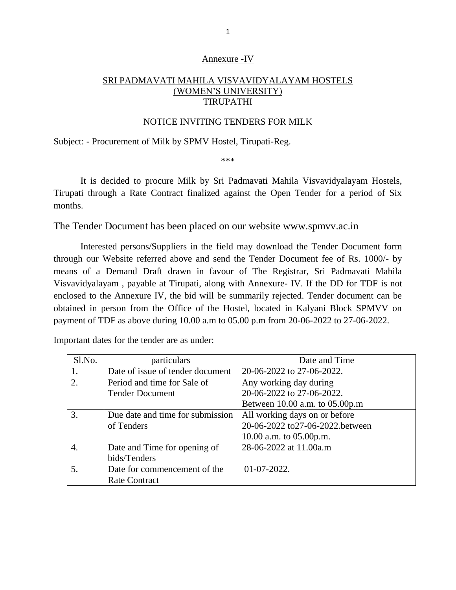### Annexure -IV

# SRI PADMAVATI MAHILA VISVAVIDYALAYAM HOSTELS (WOMEN'S UNIVERSITY) **TIRUPATHI**

### NOTICE INVITING TENDERS FOR MILK

Subject: - Procurement of Milk by SPMV Hostel, Tirupati-Reg.

\*\*\*

It is decided to procure Milk by Sri Padmavati Mahila Visvavidyalayam Hostels, Tirupati through a Rate Contract finalized against the Open Tender for a period of Six months.

The Tender Document has been placed on our website www.spmvv.ac.in

Interested persons/Suppliers in the field may download the Tender Document form through our Website referred above and send the Tender Document fee of Rs. 1000/- by means of a Demand Draft drawn in favour of The Registrar, Sri Padmavati Mahila Visvavidyalayam , payable at Tirupati, along with Annexure- IV. If the DD for TDF is not enclosed to the Annexure IV, the bid will be summarily rejected. Tender document can be obtained in person from the Office of the Hostel, located in Kalyani Block SPMVV on payment of TDF as above during 10.00 a.m to 05.00 p.m from 20-06-2022 to 27-06-2022.

Important dates for the tender are as under:

| Sl.No.         | particulars                      | Date and Time                    |  |  |
|----------------|----------------------------------|----------------------------------|--|--|
| 1.             | Date of issue of tender document | 20-06-2022 to 27-06-2022.        |  |  |
| 2.             | Period and time for Sale of      | Any working day during           |  |  |
|                | <b>Tender Document</b>           | 20-06-2022 to 27-06-2022.        |  |  |
|                |                                  | Between 10.00 a.m. to 05.00p.m   |  |  |
| 3.             | Due date and time for submission | All working days on or before    |  |  |
|                | of Tenders                       | 20-06-2022 to 27-06-2022 between |  |  |
|                |                                  | 10.00 a.m. to $05.00$ p.m.       |  |  |
| $\overline{4}$ | Date and Time for opening of     | 28-06-2022 at 11.00a.m           |  |  |
|                | bids/Tenders                     |                                  |  |  |
| 5.             | Date for commencement of the     | $01-07-2022.$                    |  |  |
|                | <b>Rate Contract</b>             |                                  |  |  |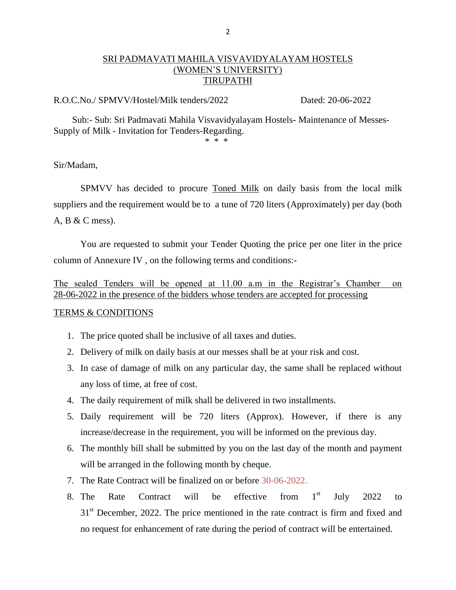## SRI PADMAVATI MAHILA VISVAVIDYALAYAM HOSTELS (WOMEN'S UNIVERSITY) TIRUPATHI

#### R.O.C.No./ SPMVV/Hostel/Milk tenders/2022 Dated: 20-06-2022

 Sub:- Sub: Sri Padmavati Mahila Visvavidyalayam Hostels- Maintenance of Messes-Supply of Milk - Invitation for Tenders-Regarding.

 $*$  \* \* \*

Sir/Madam,

SPMVV has decided to procure Toned Milk on daily basis from the local milk suppliers and the requirement would be to a tune of 720 liters (Approximately) per day (both A, B & C mess).

You are requested to submit your Tender Quoting the price per one liter in the price column of Annexure IV , on the following terms and conditions:-

The sealed Tenders will be opened at 11.00 a.m in the Registrar's Chamber on 28-06-2022 in the presence of the bidders whose tenders are accepted for processing

### TERMS & CONDITIONS

- 1. The price quoted shall be inclusive of all taxes and duties.
- 2. Delivery of milk on daily basis at our messes shall be at your risk and cost.
- 3. In case of damage of milk on any particular day, the same shall be replaced without any loss of time, at free of cost.
- 4. The daily requirement of milk shall be delivered in two installments.
- 5. Daily requirement will be 720 liters (Approx). However, if there is any increase/decrease in the requirement, you will be informed on the previous day.
- 6. The monthly bill shall be submitted by you on the last day of the month and payment will be arranged in the following month by cheque.
- 7. The Rate Contract will be finalized on or before 30-06-2022.
- 8. The Rate Contract will be effective from  $1<sup>st</sup>$ July  $2022$  to  $31<sup>st</sup>$  December, 2022. The price mentioned in the rate contract is firm and fixed and no request for enhancement of rate during the period of contract will be entertained.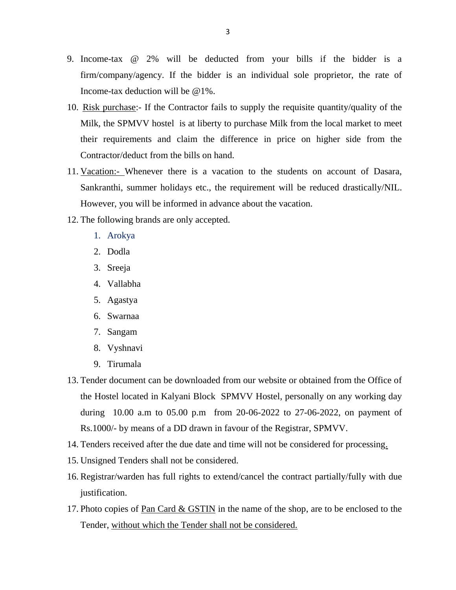- 9. Income-tax @ 2% will be deducted from your bills if the bidder is a firm/company/agency. If the bidder is an individual sole proprietor, the rate of Income-tax deduction will be @1%.
- 10. Risk purchase:- If the Contractor fails to supply the requisite quantity/quality of the Milk, the SPMVV hostel is at liberty to purchase Milk from the local market to meet their requirements and claim the difference in price on higher side from the Contractor/deduct from the bills on hand.
- 11. Vacation:- Whenever there is a vacation to the students on account of Dasara, Sankranthi, summer holidays etc., the requirement will be reduced drastically/NIL. However, you will be informed in advance about the vacation.
- 12. The following brands are only accepted.
	- 1. Arokya
	- 2. Dodla
	- 3. Sreeja
	- 4. Vallabha
	- 5. Agastya
	- 6. Swarnaa
	- 7. Sangam
	- 8. Vyshnavi
	- 9. Tirumala
- 13. Tender document can be downloaded from our website or obtained from the Office of the Hostel located in Kalyani Block SPMVV Hostel, personally on any working day during 10.00 a.m to 05.00 p.m from 20-06-2022 to 27-06-2022, on payment of Rs.1000/- by means of a DD drawn in favour of the Registrar, SPMVV.
- 14. Tenders received after the due date and time will not be considered for processing.
- 15. Unsigned Tenders shall not be considered.
- 16. Registrar/warden has full rights to extend/cancel the contract partially/fully with due justification.
- 17. Photo copies of Pan Card & GSTIN in the name of the shop, are to be enclosed to the Tender, without which the Tender shall not be considered.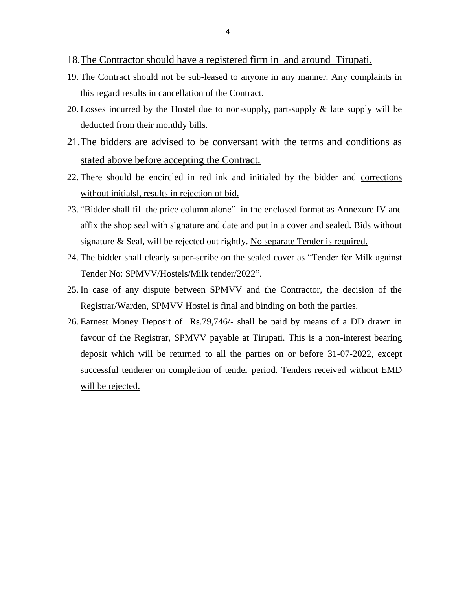- 18.The Contractor should have a registered firm in and around Tirupati.
- 19. The Contract should not be sub-leased to anyone in any manner. Any complaints in this regard results in cancellation of the Contract.
- 20. Losses incurred by the Hostel due to non-supply, part-supply & late supply will be deducted from their monthly bills.
- 21.The bidders are advised to be conversant with the terms and conditions as stated above before accepting the Contract.
- 22. There should be encircled in red ink and initialed by the bidder and corrections without initialsl, results in rejection of bid.
- 23. "Bidder shall fill the price column alone" in the enclosed format as Annexure IV and affix the shop seal with signature and date and put in a cover and sealed. Bids without signature & Seal, will be rejected out rightly. No separate Tender is required.
- 24. The bidder shall clearly super-scribe on the sealed cover as "Tender for Milk against Tender No: SPMVV/Hostels/Milk tender/2022".
- 25. In case of any dispute between SPMVV and the Contractor, the decision of the Registrar/Warden, SPMVV Hostel is final and binding on both the parties.
- 26. Earnest Money Deposit of Rs.79,746/- shall be paid by means of a DD drawn in favour of the Registrar, SPMVV payable at Tirupati. This is a non-interest bearing deposit which will be returned to all the parties on or before 31-07-2022, except successful tenderer on completion of tender period. Tenders received without EMD will be rejected.